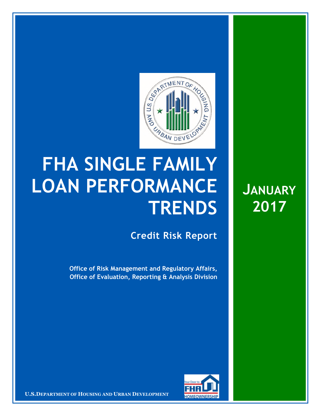

## **FHA SINGLE FAMILY LOAN PERFORMANCE TRENDS**

**Credit Risk Report**

**Office of Risk Management and Regulatory Affairs, Office of Evaluation, Reporting & Analysis Division** 



**U.S.DEPARTMENT OF HOUSING AND URBAN DEVELOPMENT** 

**JANUARY 2017**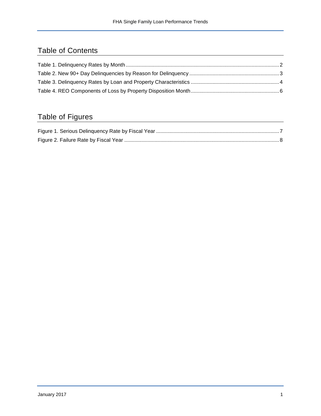## Table of Contents

## Table of Figures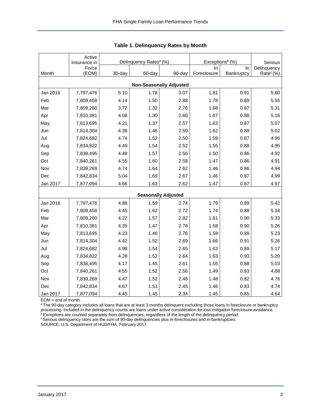<span id="page-2-0"></span>

|                                | Active<br>Insurance in |        | Delinquency Rates <sup>a</sup> (%) |                            | Exceptions <sup>b</sup> (%) | Serious    |                       |  |  |  |  |  |
|--------------------------------|------------------------|--------|------------------------------------|----------------------------|-----------------------------|------------|-----------------------|--|--|--|--|--|
|                                | Force                  |        |                                    |                            | In.                         | In         | Delinquency           |  |  |  |  |  |
| Month                          | (EOM)                  | 30-day | 60-day                             | 90-day                     | Foreclosure                 | Bankruptcy | Rate <sup>c</sup> (%) |  |  |  |  |  |
| <b>Non-Seasonally Adjusted</b> |                        |        |                                    |                            |                             |            |                       |  |  |  |  |  |
| Jan 2016                       | 7,797,476              | 5.10   | 1.78                               | 3.07                       | 1.81                        | 0.91       | 5.80                  |  |  |  |  |  |
| Feb                            | 7,809,458              | 4.14   | 1.50                               | 2.88                       | 1.78                        | 0.89       | 5.55                  |  |  |  |  |  |
| Mar                            | 7,809,260              | 3.72   | 1.32                               | 2.76                       | 1.68                        | 0.87       | 5.31                  |  |  |  |  |  |
| Apr                            | 7,810,381              | 4.08   | 1.30                               | 2.60                       | 1.67                        | 0.88       | 5.16                  |  |  |  |  |  |
| May                            | 7,813,695              | 4.21   | 1.37                               | 2.57                       | 1.63                        | 0.87       | 5.07                  |  |  |  |  |  |
| Jun                            | 7,814,304              | 4.38   | 1.46                               | 2.50                       | 1.62                        | 0.89       | 5.02                  |  |  |  |  |  |
| Jul                            | 7,824,682              | 4.74   | 1.52                               | 2.50                       | 1.59                        | 0.87       | 4.96                  |  |  |  |  |  |
| Aug                            | 7,834,822              | 4.49   | 1.54                               | 2.52                       | 1.55                        | 0.88       | 4.95                  |  |  |  |  |  |
| Sep                            | 7,838,495              | 4.48   | 1.57                               | 2.56                       | 1.50                        | 0.86       | 4.92                  |  |  |  |  |  |
| Oct                            | 7,840,261              | 4.55   | 1.60                               | 2.58                       | 1.47                        | 0.86       | 4.91                  |  |  |  |  |  |
| Nov                            | 7,839,269              | 4.74   | 1.64                               | 2.62                       | 1.46                        | 0.86       | 4.94                  |  |  |  |  |  |
| Dec                            | 7,842,834              | 5.04   | 1.69                               | 2.67                       | 1.46                        | 0.87       | 4.99                  |  |  |  |  |  |
| Jan 2017                       | 7,877,094              | 4.66   | 1.63                               | 2.62                       | 1.47                        | 0.87       | 4.97                  |  |  |  |  |  |
|                                |                        |        |                                    | <b>Seasonally Adjusted</b> |                             |            |                       |  |  |  |  |  |
| Jan 2016                       | 7,797,476              | 4.88   | 1.59                               | 2.74                       | 1.79                        | 0.89       | 5.42                  |  |  |  |  |  |
| Feb                            | 7,809,458              | 4.45   | 1.62                               | 2.72                       | 1.74                        | 0.88       | 5.34                  |  |  |  |  |  |
| Mar                            | 7,809,260              | 4.22   | 1.57                               | 2.82                       | 1.61                        | 0.90       | 5.33                  |  |  |  |  |  |
| Apr                            | 7,810,381              | 4.35   | 1.47                               | 2.78                       | 1.58                        | 0.90       | 5.26                  |  |  |  |  |  |
| May                            | 7,813,695              | 4.23   | 1.46                               | 2.76                       | 1.59                        | 0.88       | 5.23                  |  |  |  |  |  |
| Jun                            | 7,814,304              | 4.42   | 1.52                               | 2.69                       | 1.66                        | 0.91       | 5.26                  |  |  |  |  |  |
| Jul                            | 7,824,682              | 4.98   | 1.54                               | 2.65                       | 1.63                        | 0.89       | 5.17                  |  |  |  |  |  |
| Aug                            | 7,834,822              | 4.28   | 1.52                               | 2.64                       | 1.63                        | 0.93       | 5.20                  |  |  |  |  |  |
| Sep                            | 7,838,495              | 4.17   | 1.45                               | 2.61                       | 1.55                        | 0.88       | 5.03                  |  |  |  |  |  |
| Oct                            | 7,840,261              | 4.55   | 1.52                               | 2.56                       | 1.49                        | 0.83       | 4.88                  |  |  |  |  |  |
| Nov                            | 7,839,269              | 4.47   | 1.52                               | 2.46                       | 1.48                        | 0.82       | 4.76                  |  |  |  |  |  |
| Dec                            | 7,842,834              | 4.67   | 1.51                               | 2.45                       | 1.46                        | 0.83       | 4.74                  |  |  |  |  |  |
| Jan 2017                       | 7,877,094              | 4.45   | 1.45                               | 2.34                       | 1.45                        | 0.85       | 4.64                  |  |  |  |  |  |

<span id="page-2-1"></span>

EOM = end of month.

<sup>a</sup>The 90-day category includes all loans that are at least 3 months delinquent excluding those loans in foreclosure or bankruptcy processing. Included in the delinquency counts are loans under active consideration for loss mitigation foreclosure avoidance.

<sup>b</sup> Exceptions are counted separately from delinquencies, regardless of the length of the delinquency period.

<sup>c</sup> Serious delinquency rates are the sum of 90-day delinquencies plus in-foreclosures and in-bankruptcies.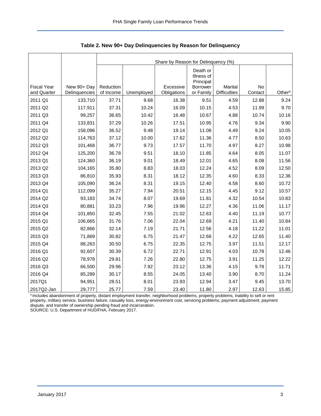<span id="page-3-0"></span>

|                                   |                              | Share by Reason for Delinquency (%) |            |                          |                                     |                                |               |                    |  |  |  |
|-----------------------------------|------------------------------|-------------------------------------|------------|--------------------------|-------------------------------------|--------------------------------|---------------|--------------------|--|--|--|
|                                   |                              |                                     |            |                          | Death or<br>Illness of<br>Principal |                                |               |                    |  |  |  |
| <b>Fiscal Year</b><br>and Quarter | New 90+ Day<br>Delinquencies | Reduction<br>of Income              | Unemployed | Excessive<br>Obligations | <b>Borrower</b><br>or Family        | Marital<br><b>Difficulties</b> | No<br>Contact | Other <sup>a</sup> |  |  |  |
| 2011 Q1                           | 133,710                      | 37.71                               | 9.68       | 16.38                    | 9.51                                | 4.59                           | 12.88         | 9.24               |  |  |  |
| 2011 Q2                           | 117,911                      | 37.31                               | 10.24      | 16.09                    | 10.15                               | 4.53                           | 11.99         | 9.70               |  |  |  |
| 2011 Q3                           | 99,257                       | 36.65                               | 10.42      | 16.48                    | 10.67                               | 4.88                           | 10.74         | 10.16              |  |  |  |
| 2011 Q4                           | 133,831                      | 37.29                               | 10.26      | 17.51                    | 10.95                               | 4.76                           | 9.34          | 9.90               |  |  |  |
| 2012 Q1                           | 158,096                      | 36.52                               | 9.48       | 19.14                    | 11.08                               | 4.49                           | 9.24          | 10.05              |  |  |  |
| 2012 Q2                           | 114,763                      | 37.12                               | 10.00      | 17.62                    | 11.36                               | 4.77                           | 8.50          | 10.63              |  |  |  |
| 2012 Q3                           | 101,468                      | 36.77                               | 9.73       | 17.57                    | 11.70                               | 4.97                           | 8.27          | 10.98              |  |  |  |
| 2012 Q4                           | 125,200                      | 36.78                               | 9.51       | 18.10                    | 11.85                               | 4.64                           | 8.05          | 11.07              |  |  |  |
| 2013 Q1                           | 124,360                      | 36.19                               | 9.01       | 18.49                    | 12.01                               | 4.65                           | 8.08          | 11.56              |  |  |  |
| 2013 Q2                           | 104,165                      | 35.80                               | 8.83       | 18.03                    | 12.24                               | 4.52                           | 8.09          | 12.50              |  |  |  |
| 2013 Q3                           | 86,810                       | 35.93                               | 8.31       | 18.12                    | 12.35                               | 4.60                           | 8.33          | 12.36              |  |  |  |
| 2013 Q4                           | 105,090                      | 36.24                               | 8.31       | 19.15                    | 12.40                               | 4.58                           | 8.60          | 10.72              |  |  |  |
| 2014 Q1                           | 112,099                      | 35.27                               | 7.94       | 20.51                    | 12.15                               | 4.45                           | 9.12          | 10.57              |  |  |  |
| 2014 Q2                           | 93,183                       | 34.74                               | 8.07       | 19.69                    | 11.81                               | 4.32                           | 10.54         | 10.83              |  |  |  |
| 2014 Q3                           | 80,881                       | 33.23                               | 7.96       | 19.96                    | 12.27                               | 4.36                           | 11.06         | 11.17              |  |  |  |
| 2014 Q4                           | 101,850                      | 32.45                               | 7.55       | 21.02                    | 12.63                               | 4.40                           | 11.19         | 10.77              |  |  |  |
| 2015 Q1                           | 106,665                      | 31.76                               | 7.06       | 22.04                    | 12.69                               | 4.21                           | 11.40         | 10.84              |  |  |  |
| 2015 Q2                           | 82,866                       | 32.14                               | 7.19       | 21.71                    | 12.56                               | 4.18                           | 11.22         | 11.01              |  |  |  |
| 2015 Q3                           | 71,869                       | 30.82                               | 6.75       | 21.47                    | 12.68                               | 4.22                           | 12.65         | 11.40              |  |  |  |
| 2015 Q4                           | 88,263                       | 30.50                               | 6.75       | 22.35                    | 12.75                               | 3.97                           | 11.51         | 12.17              |  |  |  |
| 2016 Q1                           | 92,607                       | 30.39                               | 6.72       | 22.71                    | 12.91                               | 4.03                           | 10.78         | 12.46              |  |  |  |
| 2016 Q2                           | 78,978                       | 29.81                               | 7.26       | 22.80                    | 12.75                               | 3.91                           | 11.25         | 12.22              |  |  |  |
| 2016 Q3                           | 66,500                       | 29.96                               | 7.92       | 23.12                    | 13.36                               | 4.15                           | 9.78          | 11.71              |  |  |  |
| 2016 Q4                           | 85,289                       | 30.17                               | 8.55       | 24.05                    | 13.40                               | 3.90                           | 8.70          | 11.24              |  |  |  |
| 2017Q1                            | 94,951                       | 28.51                               | 8.01       | 23.93                    | 12.94                               | 3.47                           | 9.45          | 13.70              |  |  |  |
| 2017Q2-Jan                        | 29,777                       | 25.77                               | 7.59       | 23.40                    | 11.80                               | 2.97                           | 12.63         | 15.85              |  |  |  |

<span id="page-3-1"></span>**Table 2. New 90+ Day Delinquencies by Reason for Delinquency** 

a Includes abandonment of property, distant employment transfer, neighborhood problems, property problems, inability to sell or rent property, military service, business failure, casualty loss, energy-environment cost, servicing problems, payment adjustment, payment dispute, and transfer of ownership pending fraud and incarceration.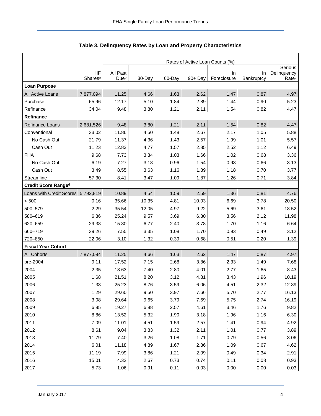<span id="page-4-0"></span>

|                           |                                   | Rates of Active Loan Counts (%) |        |        |            |                    |                  |                                  |  |  |  |
|---------------------------|-----------------------------------|---------------------------------|--------|--------|------------|--------------------|------------------|----------------------------------|--|--|--|
|                           |                                   |                                 |        |        |            |                    |                  | Serious                          |  |  |  |
|                           | <b>IIF</b><br>Shares <sup>a</sup> | All Past<br>Dueb                | 30-Day | 60-Day | $90 + Day$ | In.<br>Foreclosure | In<br>Bankruptcy | Delinquency<br>Rate <sup>c</sup> |  |  |  |
| <b>Loan Purpose</b>       |                                   |                                 |        |        |            |                    |                  |                                  |  |  |  |
|                           |                                   | 11.25                           | 4.66   | 1.63   | 2.62       | 1.47               | 0.87             | 4.97                             |  |  |  |
| All Active Loans          | 7,877,094                         |                                 |        |        |            |                    |                  |                                  |  |  |  |
| Purchase                  | 65.96                             | 12.17                           | 5.10   | 1.84   | 2.89       | 1.44               | 0.90             | 5.23                             |  |  |  |
| Refinance                 | 34.04                             | 9.48                            | 3.80   | 1.21   | 2.11       | 1.54               | 0.82             | 4.47                             |  |  |  |
| <b>Refinance</b>          |                                   |                                 |        |        |            |                    |                  |                                  |  |  |  |
| Refinance Loans           | 2,681,526                         | 9.48                            | 3.80   | 1.21   | 2.11       | 1.54               | 0.82             | 4.47                             |  |  |  |
| Conventional              | 33.02                             | 11.86                           | 4.50   | 1.48   | 2.67       | 2.17               | 1.05             | 5.88                             |  |  |  |
| No Cash Out               | 21.79                             | 11.37                           | 4.36   | 1.43   | 2.57       | 1.99               | 1.01             | 5.57                             |  |  |  |
| Cash Out                  | 11.23                             | 12.83                           | 4.77   | 1.57   | 2.85       | 2.52               | 1.12             | 6.49                             |  |  |  |
| <b>FHA</b>                | 9.68                              | 7.73                            | 3.34   | 1.03   | 1.66       | 1.02               | 0.68             | 3.36                             |  |  |  |
| No Cash Out               | 6.19                              | 7.27                            | 3.18   | 0.96   | 1.54       | 0.93               | 0.66             | 3.13                             |  |  |  |
| Cash Out                  | 3.49                              | 8.55                            | 3.63   | 1.16   | 1.89       | 1.18               | 0.70             | 3.77                             |  |  |  |
| Streamline                | 57.30                             | 8.41                            | 3.47   | 1.09   | 1.87       | 1.26               | 0.71             | 3.84                             |  |  |  |
| Credit Score Ranged       |                                   |                                 |        |        |            |                    |                  |                                  |  |  |  |
| Loans with Credit Scores  | 5,792,819                         | 10.89                           | 4.54   | 1.59   | 2.59       | 1.36               | 0.81             | 4.76                             |  |  |  |
| < 500                     | 0.16                              | 35.66                           | 10.35  | 4.81   | 10.03      | 6.69               | 3.78             | 20.50                            |  |  |  |
| 500-579                   | 2.29                              | 35.54                           | 12.05  | 4.97   | 9.22       | 5.69               | 3.61             | 18.52                            |  |  |  |
| 580-619                   | 6.86                              | 25.24                           | 9.57   | 3.69   | 6.30       | 3.56               | 2.12             | 11.98                            |  |  |  |
| 620-659                   | 29.38                             | 15.80                           | 6.77   | 2.40   | 3.78       | 1.70               | 1.16             | 6.64                             |  |  |  |
| 660-719                   | 39.26                             | 7.55                            | 3.35   | 1.08   | 1.70       | 0.93               | 0.49             | 3.12                             |  |  |  |
| 720-850                   | 22.06                             | 3.10                            | 1.32   | 0.39   | 0.68       | 0.51               | 0.20             | 1.39                             |  |  |  |
| <b>Fiscal Year Cohort</b> |                                   |                                 |        |        |            |                    |                  |                                  |  |  |  |
| <b>All Cohorts</b>        | 7,877,094                         | 11.25                           | 4.66   | 1.63   | 2.62       | 1.47               | 0.87             | 4.97                             |  |  |  |
| pre-2004                  | 9.11                              | 17.52                           | 7.15   | 2.68   | 3.86       | 2.33               | 1.49             | 7.68                             |  |  |  |
| 2004                      | 2.35                              | 18.63                           | 7.40   | 2.80   | 4.01       | 2.77               | 1.65             | 8.43                             |  |  |  |
| 2005                      | 1.68                              | 21.51                           | 8.20   | 3.12   | 4.81       | 3.43               | 1.96             | 10.19                            |  |  |  |
| 2006                      | 1.33                              | 25.23                           | 8.76   | 3.59   | 6.06       | 4.51               | 2.32             | 12.89                            |  |  |  |
| 2007                      | 1.29                              | 29.60                           | 9.50   | 3.97   | 7.66       | 5.70               | 2.77             | 16.13                            |  |  |  |
| 2008                      | 3.08                              | 29.64                           | 9.65   | 3.79   | 7.69       | 5.75               | 2.74             | 16.19                            |  |  |  |
| 2009                      | 6.85                              | 19.27                           | 6.88   | 2.57   | 4.61       | 3.46               | 1.76             | 9.82                             |  |  |  |
| 2010                      | 8.86                              | 13.52                           | 5.32   | 1.90   | 3.18       | 1.96               | 1.16             | 6.30                             |  |  |  |
| 2011                      | 7.09                              | 11.01                           | 4.51   | 1.59   | 2.57       | 1.41               | 0.94             | 4.92                             |  |  |  |
| 2012                      | 8.61                              | 9.04                            | 3.83   | 1.32   | 2.11       | 1.01               | 0.77             | 3.89                             |  |  |  |
| 2013                      | 11.79                             | 7.40                            | 3.26   | 1.08   | 1.71       | 0.79               | 0.56             | 3.06                             |  |  |  |
| 2014                      | 6.01                              | 11.18                           | 4.89   | 1.67   | 2.86       | 1.09               | 0.67             | 4.62                             |  |  |  |
| 2015                      | 11.19                             | 7.99                            | 3.86   | 1.21   | 2.09       | 0.49               | 0.34             | 2.91                             |  |  |  |
| 2016                      | 15.01                             | 4.32                            | 2.67   | 0.73   | 0.74       | 0.11               | 0.08             | 0.93                             |  |  |  |
| 2017                      | 5.73                              | 1.06                            | 0.91   | 0.11   | 0.03       | 0.00               | 0.00             | 0.03                             |  |  |  |

<span id="page-4-1"></span>

|  |  | Table 3. Delinquency Rates by Loan and Property Characteristics |
|--|--|-----------------------------------------------------------------|
|--|--|-----------------------------------------------------------------|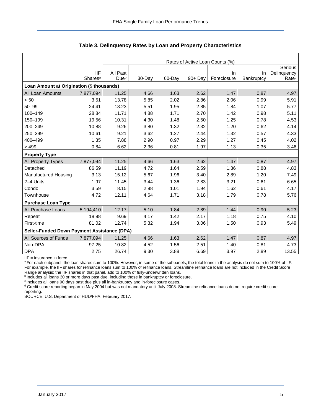|                                             |                     | Rates of Active Loan Counts (%) |        |        |            |             |            |                   |  |  |  |
|---------------------------------------------|---------------------|---------------------------------|--------|--------|------------|-------------|------------|-------------------|--|--|--|
|                                             |                     |                                 |        |        |            |             |            | Serious           |  |  |  |
|                                             | <b>IIF</b>          | All Past                        |        |        |            | In.         | In.        | Delinquency       |  |  |  |
|                                             | Shares <sup>a</sup> | Due <sup>b</sup>                | 30-Day | 60-Day | $90 + Day$ | Foreclosure | Bankruptcy | Rate <sup>c</sup> |  |  |  |
| Loan Amount at Origination (\$ thousands)   |                     |                                 |        |        |            |             |            |                   |  |  |  |
| All Loan Amounts                            | 7,877,094           | 11.25                           | 4.66   | 1.63   | 2.62       | 1.47        | 0.87       | 4.97              |  |  |  |
| < 50                                        | 3.51                | 13.78                           | 5.85   | 2.02   | 2.86       | 2.06        | 0.99       | 5.91              |  |  |  |
| $50 - 99$                                   | 24.41               | 13.23                           | 5.51   | 1.95   | 2.85       | 1.84        | 1.07       | 5.77              |  |  |  |
| 100-149                                     | 28.84               | 11.71                           | 4.88   | 1.71   | 2.70       | 1.42        | 0.98       | 5.11              |  |  |  |
| 150-199                                     | 19.56               | 10.31                           | 4.30   | 1.48   | 2.50       | 1.25        | 0.78       | 4.53              |  |  |  |
| 200-249                                     | 10.88               | 9.26                            | 3.80   | 1.32   | 2.32       | 1.20        | 0.62       | 4.14              |  |  |  |
| 250-399                                     | 10.61               | 9.21                            | 3.62   | 1.27   | 2.44       | 1.32        | 0.57       | 4.33              |  |  |  |
| 400-499                                     | 1.35                | 7.88                            | 2.90   | 0.97   | 2.29       | 1.27        | 0.45       | 4.02              |  |  |  |
| >499                                        | 0.84                | 6.62                            | 2.36   | 0.81   | 1.97       | 1.13        | 0.35       | 3.46              |  |  |  |
| <b>Property Type</b>                        |                     |                                 |        |        |            |             |            |                   |  |  |  |
| All Property Types                          | 7,877,094           | 11.25                           | 4.66   | 1.63   | 2.62       | 1.47        | 0.87       | 4.97              |  |  |  |
| Detached                                    | 86.59               | 11.19                           | 4.72   | 1.64   | 2.59       | 1.36        | 0.88       | 4.83              |  |  |  |
| <b>Manufactured Housing</b>                 | 3.13                | 15.12                           | 5.67   | 1.96   | 3.40       | 2.89        | 1.20       | 7.49              |  |  |  |
| 2-4 Units                                   | 1.97                | 11.45                           | 3.44   | 1.36   | 2.83       | 3.21        | 0.61       | 6.65              |  |  |  |
| Condo                                       | 3.59                | 8.15                            | 2.98   | 1.01   | 1.94       | 1.62        | 0.61       | 4.17              |  |  |  |
| Townhouse                                   | 4.72                | 12.11                           | 4.64   | 1.71   | 3.18       | 1.79        | 0.78       | 5.76              |  |  |  |
| <b>Purchase Loan Type</b>                   |                     |                                 |        |        |            |             |            |                   |  |  |  |
| All Purchase Loans                          | 5,194,410           | 12.17                           | 5.10   | 1.84   | 2.89       | 1.44        | 0.90       | 5.23              |  |  |  |
| Repeat                                      | 18.98               | 9.69                            | 4.17   | 1.42   | 2.17       | 1.18        | 0.75       | 4.10              |  |  |  |
| First-time                                  | 81.02               | 12.74                           | 5.32   | 1.94   | 3.06       | 1.50        | 0.93       | 5.49              |  |  |  |
| Seller-Funded Down Payment Assistance (DPA) |                     |                                 |        |        |            |             |            |                   |  |  |  |
| All Sources of Funds                        | 7,877,094           | 11.25                           | 4.66   | 1.63   | 2.62       | 1.47        | 0.87       | 4.97              |  |  |  |
| Non-DPA                                     | 97.25               | 10.82                           | 4.52   | 1.56   | 2.51       | 1.40        | 0.81       | 4.73              |  |  |  |
| <b>DPA</b>                                  | 2.75                | 26.74                           | 9.30   | 3.88   | 6.69       | 3.97        | 2.89       | 13.55             |  |  |  |

**Table 3. Delinquency Rates by Loan and Property Characteristics** 

IIF = insurance in force.

a For each subpanel, the loan shares sum to 100%. However, in some of the subpanels, the total loans in the analysis do not sum to 100% of IIF. For example, the IIF shares for refinance loans sum to 100% of refinance loans. Streamline refinance loans are not included in the Credit Score Range analysis; the IIF shares in that panel, add to 100% of fully-underwritten loans.

bincludes all loans 30 or more days past due, including those in bankruptcy or foreclosure.

<sup>c</sup> Includes all loans 90 days past due plus all in-bankruptcy and in-foreclosure cases.

<sup>d</sup> Credit score reporting began in May 2004 but was not mandatory until July 2008. Streamline refinance loans do not require credit score reporting.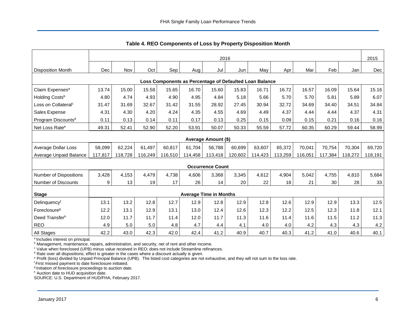<span id="page-6-0"></span>

|                                                         |         |         |         |         |         |                               |         | components or Ecos by Froperty Bioposition month |         |         |         |         |         |
|---------------------------------------------------------|---------|---------|---------|---------|---------|-------------------------------|---------|--------------------------------------------------|---------|---------|---------|---------|---------|
|                                                         | 2016    |         |         |         |         |                               |         |                                                  |         |         |         | 2015    |         |
| <b>Disposition Month</b>                                | Dec     | Nov     | Oct     | Sep     | Aug     | Jul                           | Jun     | May                                              | Apr     | Mar     | Feb     | Jan     | Dec     |
| Loss Components as Percentage of Defaulted Loan Balance |         |         |         |         |         |                               |         |                                                  |         |         |         |         |         |
| Claim Expenses <sup>a</sup>                             | 13.74   | 15.00   | 15.58   | 15.65   | 16.70   | 15.60                         | 15.83   | 16.71                                            | 16.72   | 16.57   | 16.09   | 15.64   | 15.16   |
| Holding Costsb                                          | 4.80    | 4.74    | 4.93    | 4.90    | 4.95    | 4.84                          | 5.18    | 5.66                                             | 5.70    | 5.70    | 5.81    | 5.89    | 6.07    |
| Loss on Collateral <sup>c</sup>                         | 31.47   | 31.69   | 32.67   | 31.42   | 31.55   | 28.92                         | 27.45   | 30.94                                            | 32.72   | 34.69   | 34.40   | 34.51   | 34.84   |
| Sales Expense                                           | 4.31    | 4.30    | 4.20    | 4.24    | 4.35    | 4.55                          | 4.69    | 4.49                                             | 4.37    | 4.44    | 4.44    | 4.37    | 4.31    |
| Program Discounts <sup>d</sup>                          | 0.11    | 0.13    | 0.14    | 0.11    | 0.17    | 0.13                          | 0.25    | 0.15                                             | 0.09    | 0.15    | 0.21    | 0.16    | 0.16    |
| Net Loss Rate <sup>e</sup>                              | 49.31   | 52.41   | 52.90   | 52.20   | 53.91   | 50.07                         | 50.33   | 55.59                                            | 57.72   | 60.35   | 60.29   | 59.44   | 58.99   |
|                                                         |         |         |         |         |         | Average Amount (\$)           |         |                                                  |         |         |         |         |         |
| Average Dollar Loss                                     | 58,099  | 62,224  | 61,497  | 60,817  | 61.704  | 56.788                        | 60,699  | 63,607                                           | 65,372  | 70.041  | 70,754  | 70,304  | 69,720  |
| Average Unpaid Balance                                  | 117,817 | 118,728 | 116,249 | 116,510 | 114,458 | 113,418                       | 120,602 | 114,423                                          | 113,259 | 116,051 | 117,384 | 118,272 | 118,191 |
|                                                         |         |         |         |         |         | <b>Occurrence Count</b>       |         |                                                  |         |         |         |         |         |
| <b>Number of Dispositions</b>                           | 3,428   | 4,153   | 4,479   | 4,738   | 4,606   | 3,368                         | 3,345   | 4,612                                            | 4,904   | 5,042   | 4,755   | 4,810   | 5,684   |
| Number of Discounts                                     | 9       | 13      | 19      | 17      | 26      | 14                            | 20      | 22                                               | 18      | 21      | 30      | 28      | 33      |
| <b>Stage</b>                                            |         |         |         |         |         | <b>Average Time in Months</b> |         |                                                  |         |         |         |         |         |
| Delinquencyf                                            | 13.1    | 13.2    | 12.8    | 12.7    | 12.9    | 12.8                          | 12.9    | 12.8                                             | 12.6    | 12.9    | 12.9    | 13.3    | 12.5    |
| Foreclosure <sup>g</sup>                                | 12.2    | 13.1    | 12.9    | 13.1    | 13.0    | 12.4                          | 12.6    | 12.3                                             | 12.2    | 12.5    | 12.3    | 11.8    | 12.1    |
| Deed Transferh                                          | 12.0    | 11.7    | 11.7    | 11.4    | 12.0    | 11.7                          | 11.3    | 11.6                                             | 11.4    | 11.6    | 11.5    | 11.2    | 11.3    |
| <b>REO</b>                                              | 4.9     | 5.0     | 5.0     | 4.8     | 4.7     | 4.4                           | 4.1     | 4.0                                              | 4.0     | 4.2     | 4.3     | 4.3     | 4.2     |
| All Stages                                              | 42.2    | 43.0    | 42.3    | 42.0    | 42.4    | 41.2                          | 40.9    | 40.7                                             | 40.3    | 41.2    | 41.0    | 40.6    | 40.1    |

<span id="page-6-1"></span>**Table 4. REO Components of Loss by Property Disposition Month** 

<sup>a</sup> Includes interest on principal.

<sup>b</sup> Management, maintenance, repairs, administration, and security, net of rent and other income.

<sup>c</sup> Value when foreclosed (UPB) minus value received in REO; does not include Streamline refinances.

<sup>d</sup> Rate over all dispositions; effect is greater in the cases where a discount actually is given.

e Profit (loss) divided by Unpaid Principal Balance (UPB). The listed cost categories are not exhaustive, and they will not sum to the loss rate.

<sup>f</sup>First missed payment to date foreclosure initiated.

<sup>9</sup> Initiation of foreclosure proceedings to auction date.

h Auction date to HUD acquisition date.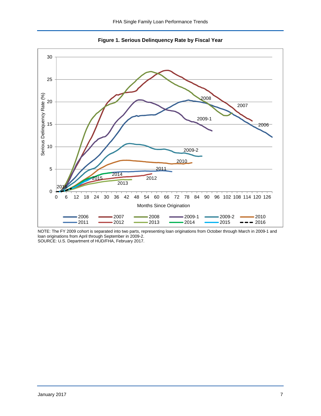<span id="page-7-0"></span>

<span id="page-7-1"></span>**Figure 1. Serious Delinquency Rate by Fiscal Year** 

NOTE: The FY 2009 cohort is separated into two parts, representing loan originations from October through March in 2009-1 and loan originations from April through September in 2009-2. SOURCE: U.S. Department of HUD/FHA, February 2017.